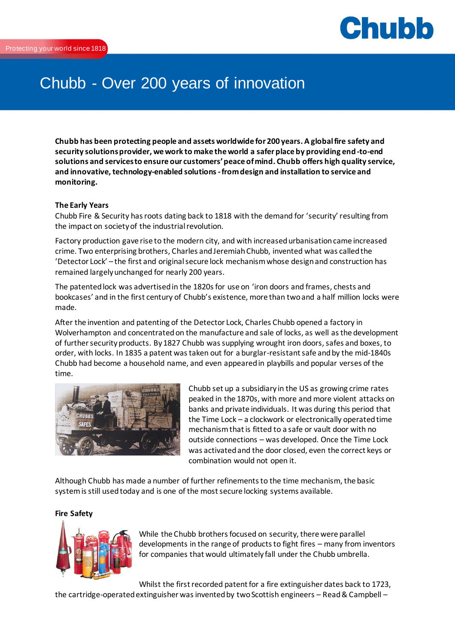

# Chubb - Over 200 years of innovation

**Chubb has been protecting people and assets worldwide for 200 years. A global fire safety and security solutions provider, we work to make the world a safer place by providing end-to-end solutions and services to ensure our customers' peace of mind. Chubb offers high quality service, and innovative, technology-enabled solutions -from design and installation to service and monitoring.**

## **The Early Years**

Chubb Fire & Security has roots dating back to 1818 with the demand for 'security' resulting from the impact on society of the industrial revolution.

Factory production gave rise to the modern city, and with increased urbanisation came increased crime. Two enterprising brothers, Charles and Jeremiah Chubb, invented what was called the 'Detector Lock' – the first and original secure lock mechanism whose design and construction has remained largely unchanged for nearly 200 years.

The patented lock was advertised in the 1820s for use on 'iron doors and frames, chests and bookcases' and in the first century of Chubb's existence, more than two and a half million locks were made.

After the invention and patenting of the Detector Lock, Charles Chubb opened a factory in Wolverhampton and concentrated on the manufacture and sale of locks, as well as the development of further security products. By 1827 Chubb was supplying wrought iron doors, safes and boxes, to order, with locks. In 1835 a patent was taken out for a burglar-resistant safe and by the mid-1840s Chubb had become a household name, and even appeared in playbills and popular verses of the time.



Chubb set up a subsidiary in the US as growing crime rates peaked in the 1870s, with more and more violent attacks on banks and private individuals. It was during this period that the Time Lock – a clockwork or electronically operated time mechanism that is fitted to a safe or vault door with no outside connections – was developed. Once the Time Lock was activated and the door closed, even the correct keys or combination would not open it.

Although Chubb has made a number of further refinements to the time mechanism, the basic system is still used today and is one of the most secure locking systems available.

### **Fire Safety**



While the Chubb brothers focused on security, there were parallel developments in the range of products to fight fires – many from inventors for companies that would ultimately fall under the Chubb umbrella.

Whilst the first recorded patent for a fire extinguisher dates back to 1723, the cartridge-operated extinguisher was invented by two Scottish engineers – Read & Campbell –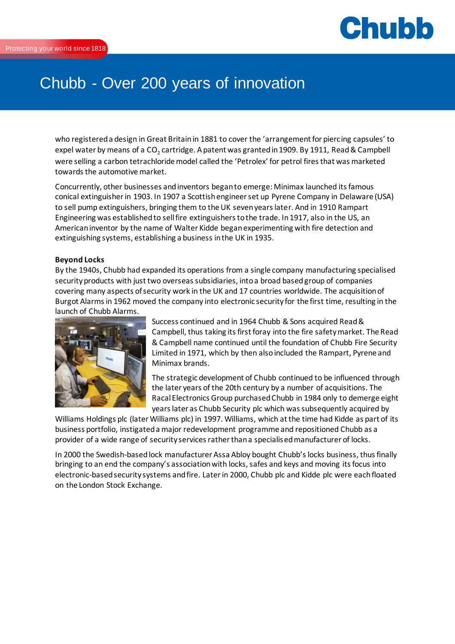

## Chubb - Over 200 years of innovation

who registered a design in Great Britain in 1881 to cover the 'arrangement for piercing capsules' to expel water by means of a CO<sub>2</sub> cartridge. A patent was granted in 1909. By 1911, Read & Campbell were selling a carbon tetrachloride model called the 'Petrolex' for petrol fires that was marketed towards the automotive market.

Concurrently, other businesses and inventors began to emerge: Minimax launched its famous conical extinguisher in 1903. In 1907 a Scottish engineer set up Pyrene Company in Delaware (USA) to sell pump extinguishers, bringing them to the UK seven years later. And in 1910 Rampart Engineering was established to sell fire extinguishers to the trade. In 1917, also in the US, an American inventor by the name of Walter Kidde began experimenting with fire detection and extinguishing systems, establishing a business in the UK in 1935.

## **Beyond Locks**

By the 1940s, Chubb had expanded its operations from a single company manufacturing specialised security products with just two overseas subsidiaries, into a broad based group of companies covering many aspects of security work in the UK and 17 countries worldwide. The acquisition of Burgot Alarms in 1962 moved the company into electronic security for the first time, resulting in the launch of Chubb Alarms.



Success continued and in 1964 Chubb & Sons acquired Read & Campbell, thus taking its first foray into the fire safety market. The Read & Campbell name continued until the foundation of Chubb Fire Security Limited in 1971, which by then also included the Rampart, Pyrene and Minimax brands.

The strategic development of Chubb continued to be influenced through the later years of the 20th century by a number of acquisitions. The Racal Electronics Group purchased Chubb in 1984 only to demerge eight years later as Chubb Security plc which was subsequently acquired by

Williams Holdings plc (later Williams plc) in 1997. Williams, which at the time had Kidde as part of its business portfolio, instigated a major redevelopment programme and repositioned Chubb as a provider of a wide range of security services rather than a specialised manufacturer of locks.

In 2000 the Swedish-based lock manufacturer Assa Abloy bought Chubb's locks business, thus finally bringing to an end the company's association with locks, safes and keys and moving its focus into electronic-based security systems and fire. Later in 2000, Chubb plc and Kidde plc were each floated on the London Stock Exchange.